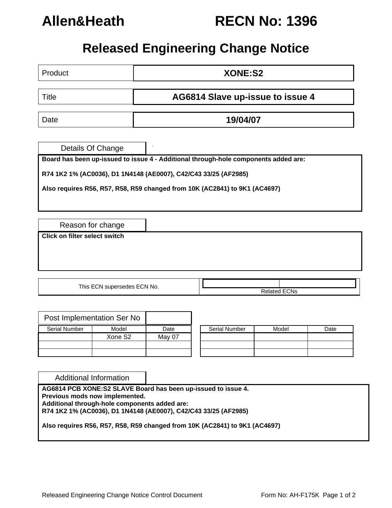

# **Allen&Heath RECN No: 1396**

# **Released Engineering Change Notice**

| Product                                                   | XONE:S2                                                                         |                |                                                                                                                                                                                                                                      |                     |      |  |  |  |  |
|-----------------------------------------------------------|---------------------------------------------------------------------------------|----------------|--------------------------------------------------------------------------------------------------------------------------------------------------------------------------------------------------------------------------------------|---------------------|------|--|--|--|--|
| AG6814 Slave up-issue to issue 4<br><b>Title</b>          |                                                                                 |                |                                                                                                                                                                                                                                      |                     |      |  |  |  |  |
| Date                                                      |                                                                                 | 19/04/07       |                                                                                                                                                                                                                                      |                     |      |  |  |  |  |
| Details Of Change                                         |                                                                                 |                | Board has been up-issued to issue 4 - Additional through-hole components added are:<br>R74 1K2 1% (AC0036), D1 1N4148 (AE0007), C42/C43 33/25 (AF2985)<br>Also requires R56, R57, R58, R59 changed from 10K (AC2841) to 9K1 (AC4697) |                     |      |  |  |  |  |
| Reason for change<br><b>Click on filter select switch</b> |                                                                                 |                |                                                                                                                                                                                                                                      |                     |      |  |  |  |  |
|                                                           | This ECN supersedes ECN No.                                                     |                |                                                                                                                                                                                                                                      | <b>Related ECNs</b> |      |  |  |  |  |
| Post Implementation Ser No<br>Serial Number               | Model<br>Xone S2                                                                | Date<br>May 07 | Serial Number                                                                                                                                                                                                                        | Model               | Date |  |  |  |  |
| <b>Additional Information</b>                             | Previous mods now implemented.<br>Additional through-hole components added are: |                | AG6814 PCB XONE:S2 SLAVE Board has been up-issued to issue 4.                                                                                                                                                                        |                     |      |  |  |  |  |

**Also requires R56, R57, R58, R59 changed from 10K (AC2841) to 9K1 (AC4697)**